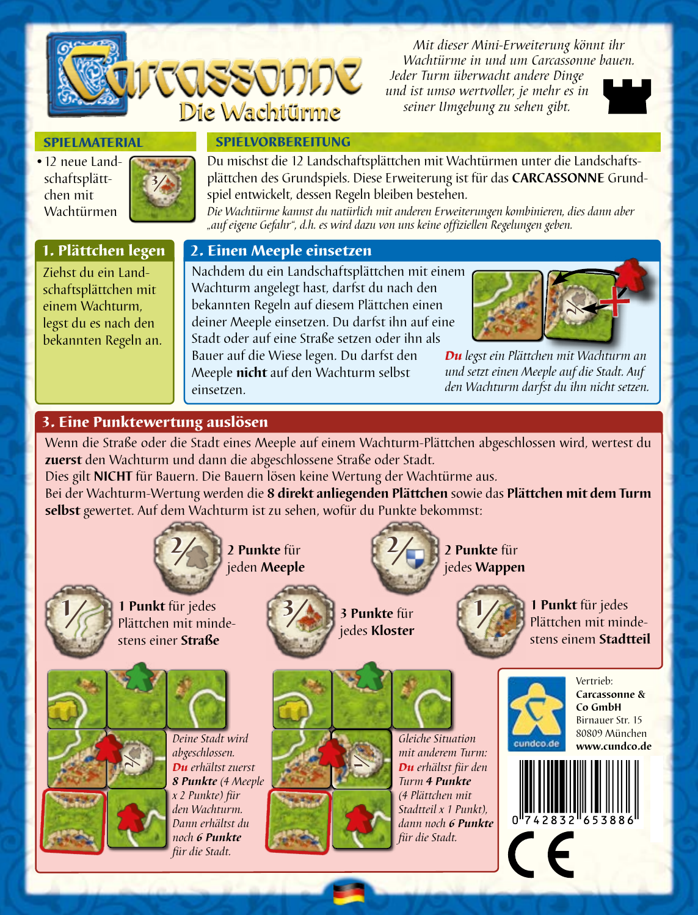

*Mit dieser Mini-Erweiterung könnt ihr Wachtürme in und um Carcassonne bauen.* 

*Jeder Turm überwacht andere Dinge und ist umso wertvoller, je mehr es in seiner Umgebung zu sehen gibt.*



#### **SPIELMATERIAL**

•12 neue Landschaftsplättchen mit Wachtürmen



Du mischst die 12 Landschaftsplättchen mit Wachtürmen unter die Landschaftsplättchen des Grundspiels. Diese Erweiterung ist für das **CARCASSONNE** Grundspiel entwickelt, dessen Regeln bleiben bestehen.

*Die Wachtürme kannst du natürlich mit anderen Erweiterungen kombinieren, dies dann aber "auf eigene Gefahr", d.h. es wird dazu von uns keine offiziellen Regelungen geben.*

## 1. Plättchen legen

Ziehst du ein Landschaftsplättchen mit einem Wachturm, legst du es nach den bekannten Regeln an.

#### 2. Einen Meeple einsetzen

**SPIELVORBEREITUNG** 

Die Wachtürme

Nachdem du ein Landschaftsplättchen mit einem Wachturm angelegt hast, darfst du nach den bekannten Regeln auf diesem Plättchen einen deiner Meeple einsetzen. Du darfst ihn auf eine Stadt oder auf eine Straße setzen oder ihn als Bauer auf die Wiese legen. Du darfst den

Meeple **nicht** auf den Wachturm selbst einsetzen.



*Du legst ein Plättchen mit Wachturm an und setzt einen Meeple auf die Stadt. Auf den Wachturm darfst du ihn nicht setzen.*

# 3. Eine Punktewertung auslösen

Wenn die Straße oder die Stadt eines Meeple auf einem Wachturm-Plättchen abgeschlossen wird, wertest du **zuerst** den Wachturm und dann die abgeschlossene Straße oder Stadt.

Dies gilt **NICHT** für Bauern. Die Bauern lösen keine Wertung der Wachtürme aus. Bei der Wachturm-Wertung werden die **8 direkt anliegenden Plättchen** sowie das **Plättchen mit dem Turm selbst** gewertet. Auf dem Wachturm ist zu sehen, wofür du Punkte bekommst:



Plättchen mit mindestens einer **Straße**





jedes **Kloster**

2



**2 Punkte** für jedes **Wappen**



**3 Punkte für 1/3 Punkt für jedes** Plättchen mit mindestens einem **Stadtteil**



*abgeschlossen. Du erhältst zuerst 8 Punkte (4 Meeple x 2 Punkte) für den Wachturm. Dann erhältst du noch 6 Punkte für die Stadt.* 

*Deine Stadt wird* 







*Gleiche Situation mit anderem Turm: Du erhältst für den Turm 4 Punkte (4 Plättchen mit Stadtteil x 1 Punkt), dann noch 6 Punkte für die Stadt.* 



**Carcassonne & Co GmbH** Birnauer Str. 15 80809 München **www.cundco.de**